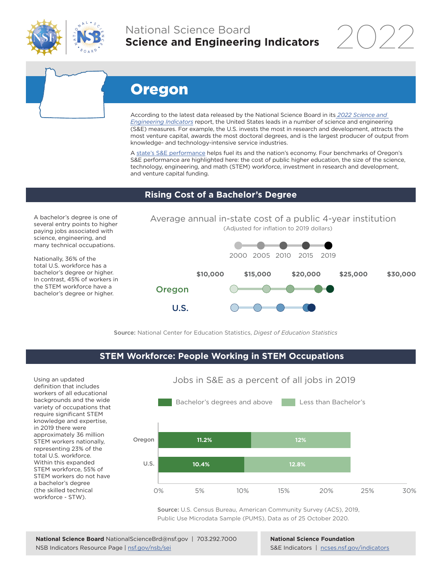

# National Science Board **Science and Engineering Indicators**

2022

# Oregon

According to the latest data released by the National Science Board in its *[2022 Science and](https://www.ncses.nsf.gov/indicators)  [Engineering Indicators](https://www.ncses.nsf.gov/indicators)* report, the United States leads in a number of science and engineering (S&E) measures. For example, the U.S. invests the most in research and development, attracts the most venture capital, awards the most doctoral degrees, and is the largest producer of output from knowledge- and technology-intensive service industries.

A state's S&E performance helps fuel its and the nation's economy. Four benchmarks of Oregon's S&E performance are highlighted here: the cost of public higher education, the size of the science, technology, engineering, and math (STEM) workforce, investment in research and development, and venture capital funding.

#### **Rising Cost of a Bachelor's Degree**

A bachelor's degree is one of several entry points to higher paying jobs associated with science, engineering, and many technical occupations.

Nationally, 36% of the total U.S. workforce has a bachelor's degree or higher. In contrast, 45% of workers in the STEM workforce have a bachelor's degree or higher.



Source: National Center for Education Statistics, *Digest of Education Statistics*

#### **STEM Workforce: People Working in STEM Occupations**

Using an updated definition that includes workers of all educational backgrounds and the wide variety of occupations that require significant STEM knowledge and expertise, in 2019 there were approximately 36 million STEM workers nationally, representing 23% of the total U.S. workforce. Within this expanded STEM workforce, 55% of STEM workers do not have a bachelor's degree (the skilled technical workforce - STW).



Source: U.S. Census Bureau, American Community Survey (ACS), 2019, Public Use Microdata Sample (PUMS), Data as of 25 October 2020.

**National Science Foundation** S&E Indicators | [ncses.nsf.gov/indicators](https://www.ncses.nsf.gov/indicators)

## Jobs in S&E as a percent of all jobs in 2019